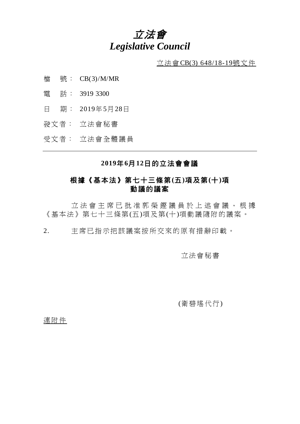# 立法會 *Legislative Council*

 $\underline{\text{if}}$  法會CB(3) 648/18-19號文件

- 檔 號: CB(3)/M/MR
- 電 話: 3919 3300
- 日 期: 2019年5月28日
- 發文者: 立法會秘書

受文者: 立法會全體議員

### **2019**年**6**月**12**日的立法會會議

# 根據《基本法》第七十三條第**(**五**)**項及第**(**十**)**項 動議的議案

立法會主席已批准郭榮鏗議員於上述會議,根據 《基本法》第七十三條第(五)項及第(十)項動議隨附的議案。

2. 主席已指示把該議案按所交來的原有措辭印載。

### 立法會秘書

(衛碧瑤代行)

連附件